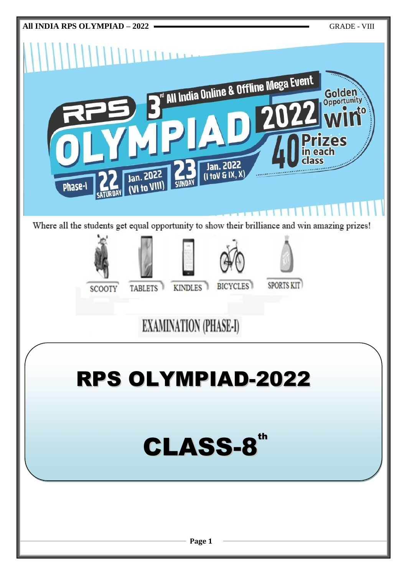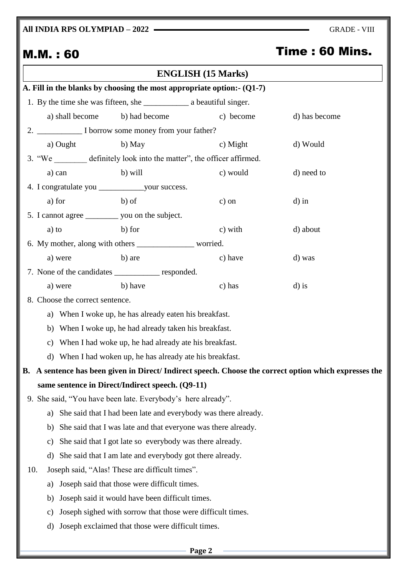**All INDIA RPS OLYMPIAD – 2022** GRADE - VIII

# M.M. : 60 Time : 60 Mins.

|                                                                        | <b>ENGLISH (15 Marks)</b>                                                                                             |                                                                  |           |                                                                                                       |  |  |
|------------------------------------------------------------------------|-----------------------------------------------------------------------------------------------------------------------|------------------------------------------------------------------|-----------|-------------------------------------------------------------------------------------------------------|--|--|
| A. Fill in the blanks by choosing the most appropriate option:- (Q1-7) |                                                                                                                       |                                                                  |           |                                                                                                       |  |  |
|                                                                        |                                                                                                                       |                                                                  |           |                                                                                                       |  |  |
|                                                                        | a) shall become                                                                                                       | b) had become                                                    | c) become | d) has become                                                                                         |  |  |
|                                                                        |                                                                                                                       | 2. ___________________ I borrow some money from your father?     |           |                                                                                                       |  |  |
|                                                                        | a) Ought                                                                                                              | b) May                                                           | c) Might  | d) Would                                                                                              |  |  |
|                                                                        |                                                                                                                       | 3. "We definitely look into the matter", the officer affirmed.   |           |                                                                                                       |  |  |
|                                                                        | a) can                                                                                                                | b) will                                                          | c) would  | d) need to                                                                                            |  |  |
|                                                                        |                                                                                                                       |                                                                  |           |                                                                                                       |  |  |
|                                                                        | a) for                                                                                                                | b) of                                                            | $c)$ on   | $d$ ) in                                                                                              |  |  |
|                                                                        |                                                                                                                       | 5. I cannot agree ________ you on the subject.                   |           |                                                                                                       |  |  |
|                                                                        | a) to                                                                                                                 | b) for                                                           | c) with   | d) about                                                                                              |  |  |
|                                                                        |                                                                                                                       | 6. My mother, along with others _______________________ worried. |           |                                                                                                       |  |  |
|                                                                        | a) were                                                                                                               | b) are                                                           | c) have   | d) was                                                                                                |  |  |
|                                                                        |                                                                                                                       | 7. None of the candidates ______________ responded.              |           |                                                                                                       |  |  |
|                                                                        | a) were                                                                                                               | b) have                                                          | c) has    | $d$ ) is                                                                                              |  |  |
|                                                                        | 8. Choose the correct sentence.                                                                                       |                                                                  |           |                                                                                                       |  |  |
|                                                                        | a) When I woke up, he has already eaten his breakfast.                                                                |                                                                  |           |                                                                                                       |  |  |
|                                                                        | When I woke up, he had already taken his breakfast.<br>b)                                                             |                                                                  |           |                                                                                                       |  |  |
|                                                                        | When I had woke up, he had already ate his breakfast.<br>$\mathbf{c})$                                                |                                                                  |           |                                                                                                       |  |  |
|                                                                        | $\rm d$                                                                                                               | When I had woken up, he has already ate his breakfast.           |           |                                                                                                       |  |  |
|                                                                        |                                                                                                                       |                                                                  |           | B. A sentence has been given in Direct/Indirect speech. Choose the correct option which expresses the |  |  |
|                                                                        |                                                                                                                       | same sentence in Direct/Indirect speech. (Q9-11)                 |           |                                                                                                       |  |  |
|                                                                        |                                                                                                                       | 9. She said, "You have been late. Everybody's here already".     |           |                                                                                                       |  |  |
|                                                                        | She said that I had been late and everybody was there already.<br>a)                                                  |                                                                  |           |                                                                                                       |  |  |
|                                                                        | She said that I was late and that everyone was there already.<br>b)                                                   |                                                                  |           |                                                                                                       |  |  |
|                                                                        | She said that I got late so everybody was there already.<br>$\mathbf{c})$                                             |                                                                  |           |                                                                                                       |  |  |
|                                                                        | She said that I am late and everybody got there already.<br>d)                                                        |                                                                  |           |                                                                                                       |  |  |
|                                                                        | Joseph said, "Alas! These are difficult times".<br>10.                                                                |                                                                  |           |                                                                                                       |  |  |
|                                                                        | Joseph said that those were difficult times.<br>a)                                                                    |                                                                  |           |                                                                                                       |  |  |
|                                                                        | Joseph said it would have been difficult times.<br>b)                                                                 |                                                                  |           |                                                                                                       |  |  |
|                                                                        | Joseph sighed with sorrow that those were difficult times.<br>C)<br>Joseph exclaimed that those were difficult times. |                                                                  |           |                                                                                                       |  |  |
|                                                                        | d)                                                                                                                    |                                                                  |           |                                                                                                       |  |  |

**Page 2**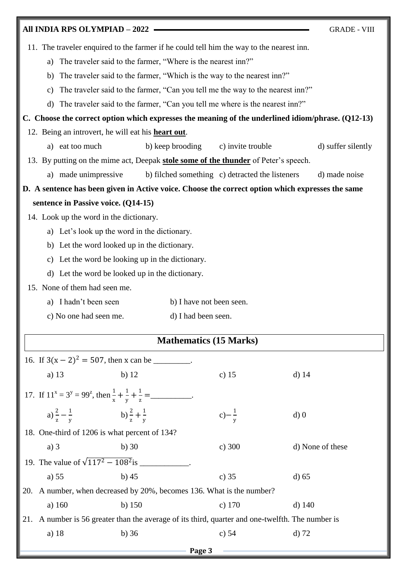## **All INDIA RPS OLYMPIAD – 2022** GRADE - VIII 11. The traveler enquired to the farmer if he could tell him the way to the nearest inn. a) The traveler said to the farmer, "Where is the nearest inn?" b) The traveler said to the farmer, "Which is the way to the nearest inn?" c) The traveler said to the farmer, "Can you tell me the way to the nearest inn?" d) The traveler said to the farmer, "Can you tell me where is the nearest inn?" **C. Choose the correct option which expresses the meaning of the underlined idiom/phrase. (Q12-13)** 12. Being an introvert, he will eat his **heart out**. a) eat too much b) keep brooding c) invite trouble d) suffer silently 13. By putting on the mime act, Deepak **stole some of the thunder** of Peter's speech. a) made unimpressive b) filched something c) detracted the listeners d) made noise **D. A sentence has been given in Active voice. Choose the correct option which expresses the same sentence in Passive voice. (Q14-15)** 14. Look up the word in the dictionary. a) Let's look up the word in the dictionary. b) Let the word looked up in the dictionary. c) Let the word be looking up in the dictionary. d) Let the word be looked up in the dictionary. 15. None of them had seen me. a) I hadn't been seen b) I have not been seen. c) No one had seen me. d) I had been seen. **Mathematics (15 Marks)** 16. If  $3(x-2)^2 = 507$ , then x can be \_\_\_\_\_\_\_\_. a) 13 b) 12 c) 15 d) 14 17. If  $11^x = 3^y = 99^z$ , then  $\frac{1}{x} + \frac{1}{y}$  $\frac{1}{y} + \frac{1}{z}$  $\frac{1}{z}$  = \_\_\_\_\_\_\_\_\_\_\_\_\_. a)  $\frac{2}{z} - \frac{1}{y}$  $\frac{1}{y}$  b)  $\frac{2}{z} + \frac{1}{y}$ y c) $-\frac{1}{n}$ y d) 0 18. One-third of 1206 is what percent of 134? a) 3 b) 30 c) 300 d) None of these 19. The value of  $\sqrt{117^2 - 108^2}$  is \_\_\_\_\_\_\_\_\_\_\_\_. a) 55 b) 45 c) 35 d) 65 20. A number, when decreased by 20%, becomes 136. What is the number? a) 160 b) 150 c) 170 d) 140 21. A number is 56 greater than the average of its third, quarter and one-twelfth. The number is a) 18 b) 36 c) 54 d) 72

**Page 3**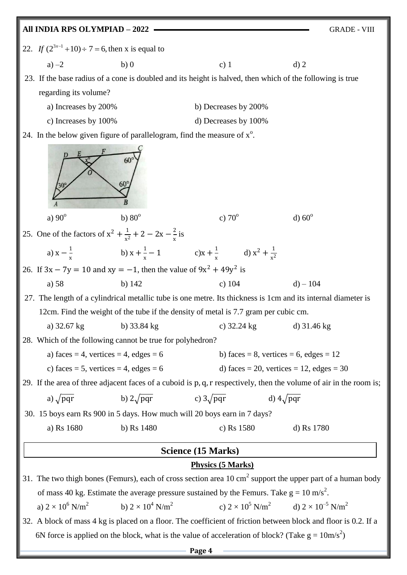## **All INDIA RPS OLYMPIAD – 2022** GRADE - VIII 22. If  $(2^{3x-1} + 10) \div 7 = 6$ , then x is equal to a) –2 b) 0 c) 1 d) 2 23. If the base radius of a cone is doubled and its height is halved, then which of the following is true regarding its volume? a) Increases by 200% b) Decreases by 200% c) Increases by 100% d) Decreases by 100% 24. In the below given figure of parallelogram, find the measure of  $x^0$ . a)  $90^\circ$ b)  $80^\circ$ c)  $70^\circ$ d)  $60^\circ$ 25. One of the factors of  $x^2 + \frac{1}{x}$  $\frac{1}{x^2}$  + 2 – 2x –  $\frac{2}{x}$  $\frac{2}{x}$  is a)  $x - \frac{1}{x}$ x b)  $x + \frac{1}{x}$  $\frac{1}{x} - 1$  c)x +  $\frac{1}{x}$  $\frac{1}{x}$  d)  $x^2 + \frac{1}{x^2}$  $x^2$ 26. If  $3x - 7y = 10$  and  $xy = -1$ , then the value of  $9x^2 + 49y^2$  is a) 58 b) 142 c) 104 d) – 104 27. The length of a cylindrical metallic tube is one metre. Its thickness is 1cm and its internal diameter is 12cm. Find the weight of the tube if the density of metal is 7.7 gram per cubic cm. a) 32.67 kg b) 33.84 kg c) 32.24 kg d) 31.46 kg 28. Which of the following cannot be true for polyhedron? a) faces = 4, vertices = 4, edges = 6 b) faces = 8, vertices = 6, edges = 12 c) faces = 5, vertices = 4, edges = 6 d) faces = 20, vertices = 12, edges = 30 29. If the area of three adjacent faces of a cuboid is p, q, r respectively, then the volume of air in the room is; a)  $\sqrt{pqr}$  b)  $2\sqrt{pqr}$  c)  $3\sqrt{pqr}$  d)  $4\sqrt{pqr}$ 30. 15 boys earn Rs 900 in 5 days. How much will 20 boys earn in 7 days? a) Rs 1680 b) Rs 1480 c) Rs 1580 d) Rs 1780 **Physics (5 Marks)** 31. The two thigh bones (Femurs), each of cross section area 10 cm<sup>2</sup> support the upper part of a human body of mass 40 kg. Estimate the average pressure sustained by the Femurs. Take  $g = 10 \text{ m/s}^2$ . **Science (15 Marks)**

c)  $2 \times 10^5 \text{ N/m}^2$  d)  $2 \times 10^{-5} \text{ N/m}^2$ 32. A block of mass 4 kg is placed on a floor. The coefficient of friction between block and floor is 0.2. If a 6N force is applied on the block, what is the value of acceleration of block? (Take  $g = 10m/s^2$ )

b)  $2 \times 10^4$  N/m<sup>2</sup>

a)  $2 \times 10^6$  N/m<sup>2</sup>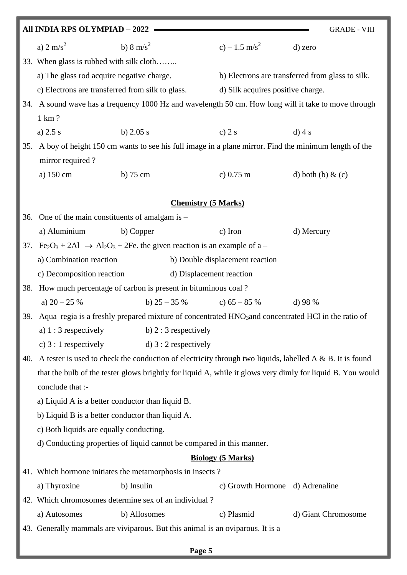|     | All INDIA RPS OLYMPIAD - 2022                                                                                |                                                                                                        |                                       | <b>GRADE - VIII</b>                              |  |  |
|-----|--------------------------------------------------------------------------------------------------------------|--------------------------------------------------------------------------------------------------------|---------------------------------------|--------------------------------------------------|--|--|
|     | a) $2 \text{ m/s}^2$<br>b) $8 \text{ m/s}^2$                                                                 |                                                                                                        | c) – 1.5 m/s <sup>2</sup> d) zero     |                                                  |  |  |
|     | 33. When glass is rubbed with silk cloth                                                                     |                                                                                                        |                                       |                                                  |  |  |
|     | a) The glass rod acquire negative charge.                                                                    |                                                                                                        |                                       | b) Electrons are transferred from glass to silk. |  |  |
|     | c) Electrons are transferred from silk to glass.                                                             |                                                                                                        | d) Silk acquires positive charge.     |                                                  |  |  |
| 34. |                                                                                                              | A sound wave has a frequency 1000 Hz and wavelength 50 cm. How long will it take to move through       |                                       |                                                  |  |  |
|     | 1 km?                                                                                                        |                                                                                                        |                                       |                                                  |  |  |
|     | a) $2.5 s$                                                                                                   | b) $2.05 s$                                                                                            | c) $2s$                               | $d)$ 4 s                                         |  |  |
| 35. |                                                                                                              | A boy of height 150 cm wants to see his full image in a plane mirror. Find the minimum length of the   |                                       |                                                  |  |  |
|     | mirror required?                                                                                             |                                                                                                        |                                       |                                                  |  |  |
|     | a) 150 cm                                                                                                    | b) $75 \text{ cm}$                                                                                     | c) $0.75 \text{ m}$                   | d) both (b) $\&$ (c)                             |  |  |
|     |                                                                                                              |                                                                                                        |                                       |                                                  |  |  |
|     |                                                                                                              | <b>Chemistry (5 Marks)</b>                                                                             |                                       |                                                  |  |  |
| 36. | One of the main constituents of amalgam is -                                                                 |                                                                                                        |                                       |                                                  |  |  |
|     | a) Aluminium                                                                                                 | b) Copper                                                                                              | c) Iron                               | d) Mercury                                       |  |  |
| 37. |                                                                                                              | $Fe2O3 + 2Al \rightarrow Al2O3 + 2Fe$ . the given reaction is an example of a –                        |                                       |                                                  |  |  |
|     | a) Combination reaction                                                                                      |                                                                                                        | b) Double displacement reaction       |                                                  |  |  |
|     | c) Decomposition reaction                                                                                    | d) Displacement reaction                                                                               |                                       |                                                  |  |  |
| 38. |                                                                                                              | How much percentage of carbon is present in bituminous coal?                                           |                                       |                                                  |  |  |
|     | a) $20 - 25%$                                                                                                |                                                                                                        | b) $25 - 35\%$ c) $65 - 85\%$ d) 98 % |                                                  |  |  |
|     |                                                                                                              | 39. Aqua regia is a freshly prepared mixture of concentrated HNO3 and concentrated HCl in the ratio of |                                       |                                                  |  |  |
|     | a) $1:3$ respectively                                                                                        | b) $2:3$ respectively                                                                                  |                                       |                                                  |  |  |
|     | c) $3:1$ respectively                                                                                        | d) $3:2$ respectively                                                                                  |                                       |                                                  |  |  |
| 40. | A tester is used to check the conduction of electricity through two liquids, labelled $A \& B$ . It is found |                                                                                                        |                                       |                                                  |  |  |
|     | that the bulb of the tester glows brightly for liquid A, while it glows very dimly for liquid B. You would   |                                                                                                        |                                       |                                                  |  |  |
|     | conclude that :-                                                                                             |                                                                                                        |                                       |                                                  |  |  |
|     | a) Liquid A is a better conductor than liquid B.<br>b) Liquid B is a better conductor than liquid A.         |                                                                                                        |                                       |                                                  |  |  |
|     | c) Both liquids are equally conducting.                                                                      |                                                                                                        |                                       |                                                  |  |  |
|     |                                                                                                              | d) Conducting properties of liquid cannot be compared in this manner.                                  |                                       |                                                  |  |  |
|     |                                                                                                              |                                                                                                        | <b>Biology (5 Marks)</b>              |                                                  |  |  |
|     | 41. Which hormone initiates the metamorphosis in insects?                                                    |                                                                                                        |                                       |                                                  |  |  |
|     | a) Thyroxine                                                                                                 | b) Insulin                                                                                             | c) Growth Hormone d) Adrenaline       |                                                  |  |  |
|     |                                                                                                              | 42. Which chromosomes determine sex of an individual?                                                  |                                       |                                                  |  |  |
|     | a) Autosomes                                                                                                 | b) Allosomes                                                                                           | c) Plasmid                            | d) Giant Chromosome                              |  |  |
|     |                                                                                                              | 43. Generally mammals are viviparous. But this animal is an oviparous. It is a                         |                                       |                                                  |  |  |
|     |                                                                                                              |                                                                                                        |                                       |                                                  |  |  |
|     | Page 5                                                                                                       |                                                                                                        |                                       |                                                  |  |  |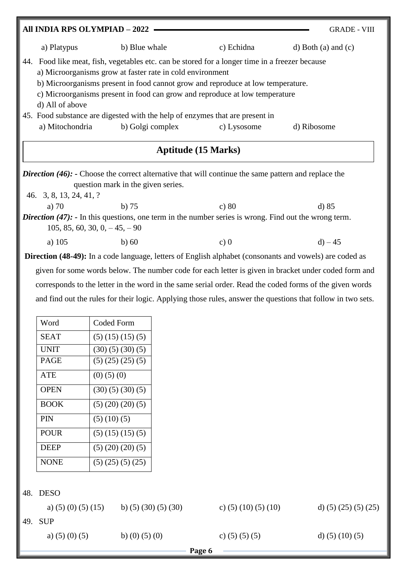| All INDIA RPS OLYMPIAD - 2022<br><b>GRADE - VIII</b> |                                                                                            |                  |             |                       |  |
|------------------------------------------------------|--------------------------------------------------------------------------------------------|------------------|-------------|-----------------------|--|
|                                                      | a) Platypus                                                                                | b) Blue whale    | c) Echidna  | $d)$ Both (a) and (c) |  |
| 44.                                                  | Food like meat, fish, vegetables etc. can be stored for a longer time in a freezer because |                  |             |                       |  |
|                                                      | a) Microorganisms grow at faster rate in cold environment                                  |                  |             |                       |  |
|                                                      | b) Microorganisms present in food cannot grow and reproduce at low temperature.            |                  |             |                       |  |
|                                                      | c) Microorganisms present in food can grow and reproduce at low temperature                |                  |             |                       |  |
|                                                      | d) All of above                                                                            |                  |             |                       |  |
|                                                      | 45. Food substance are digested with the help of enzymes that are present in               |                  |             |                       |  |
|                                                      | a) Mitochondria                                                                            | b) Golgi complex | c) Lysosome | d) Ribosome           |  |
|                                                      |                                                                                            |                  |             |                       |  |
|                                                      | <b>Aptitude</b> (15 Marks)                                                                 |                  |             |                       |  |

*Direction (46):* - Choose the correct alternative that will continue the same pattern and replace the question mark in the given series.

 46. 3, 8, 13, 24, 41, ? a) 70 b) 75 c) 80 d) 85 *Direction (47):* - In this questions, one term in the number series is wrong. Find out the wrong term. 105, 85, 60, 30, 0, – 45, – 90 a) 105 b) 60 c) 0 d) – 45

**Direction (48-49):** In a code language, letters of English alphabet (consonants and vowels) are coded as given for some words below. The number code for each letter is given in bracket under coded form and corresponds to the letter in the word in the same serial order. Read the coded forms of the given words and find out the rules for their logic. Applying those rules, answer the questions that follow in two sets.

| Word        | <b>Coded Form</b>         |
|-------------|---------------------------|
| SEAT        | $(5)$ $(15)$ $(15)$ $(5)$ |
| UNIT        | $(30)$ $(5)$ $(30)$ $(5)$ |
| PAGE        | $(5)$ $(25)$ $(25)$ $(5)$ |
| <b>ATE</b>  | $(0)$ (5) (0)             |
| OPEN        | $(30)$ $(5)$ $(30)$ $(5)$ |
| <b>BOOK</b> | $(5)$ $(20)$ $(20)$ $(5)$ |
| PIN         | (5)(10)(5)                |
| <b>POUR</b> | $(5)$ $(15)$ $(15)$ $(5)$ |
| <b>DEEP</b> | $(5)$ $(20)$ $(20)$ $(5)$ |
| <b>NONE</b> | $(5)$ $(25)$ $(5)$ $(25)$ |

48. DESO

|        | a) (5) (0) (5) (15)<br>49. SUP | b) $(5)$ $(30)$ $(5)$ $(30)$ | c) $(5)$ $(10)$ $(5)$ $(10)$ | d) $(5)$ $(25)$ $(5)$ $(25)$ |  |
|--------|--------------------------------|------------------------------|------------------------------|------------------------------|--|
|        | a) $(5)$ $(0)$ $(5)$           | b) (0) (5) (0)               | c) $(5)$ $(5)$ $(5)$         | d) $(5)$ $(10)$ $(5)$        |  |
| Page 6 |                                |                              |                              |                              |  |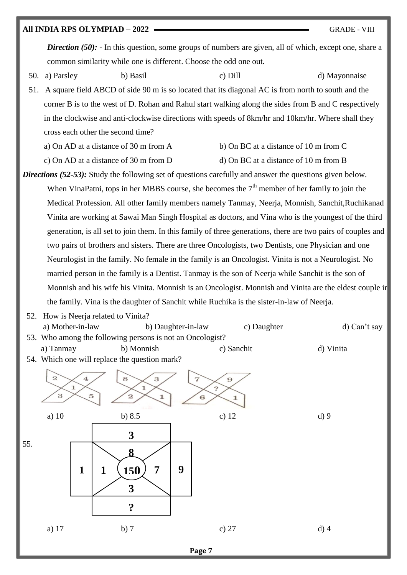

**Page 7**